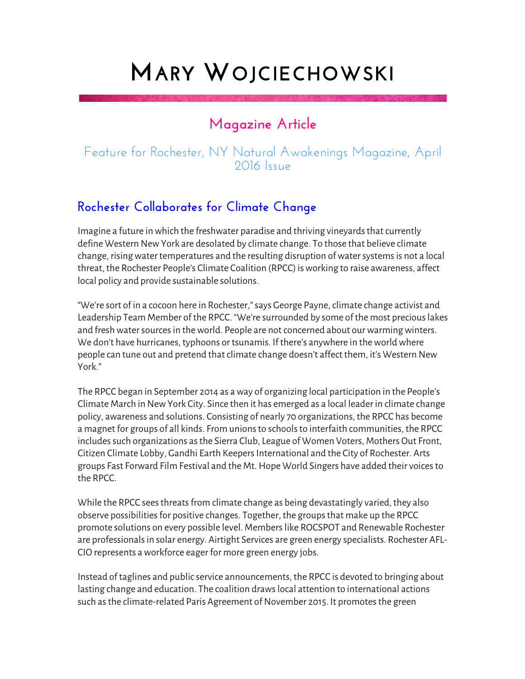## **MARY WOJCIECHOWSKI**

## **Magazine Article**

## Feature for Rochester, NY Natural Awakenings Magazine, April 2016 Issue

## **Rochester Collaborates for Climate Change**

Imagine a future in which the freshwater paradise and thriving vineyards that currently define Western New York are desolated by climate change. To those that believe climate change, rising water temperatures and the resulting disruption of water systems is not a local threat, the Rochester People's Climate Coalition (RPCC) is working to raise awareness, affect local policy and provide sustainable solutions.

"We're sort of in a cocoon here in Rochester," says George Payne, climate change activist and Leadership Team Member of the RPCC. "We're surrounded by some of the most precious lakes and fresh water sources in the world. People are not concerned about our warming winters. We don't have hurricanes, typhoons or tsunamis. If there's anywhere in the world where people can tune out and pretend that climate change doesn't affect them, it's Western New York."

The RPCC began in September 2014 as a way of organizing local participation in the People's Climate March in New York City. Since then it has emerged as a local leader in climate change policy, awareness and solutions. Consisting of nearly 70 organizations, the RPCC has become a magnet for groups of all kinds. From unions to schools to interfaith communities, the RPCC includes such organizations as the Sierra Club, League of Women Voters, Mothers Out Front, Citizen Climate Lobby, Gandhi Earth Keepers International and the City of Rochester. Arts groups Fast Forward Film Festival and the Mt. Hope World Singers have added their voices to the RPCC.

While the RPCC sees threats from climate change as being devastatingly varied, they also observe possibilities for positive changes. Together, the groups that make up the RPCC promote solutions on every possible level. Members like ROCSPOT and Renewable Rochester are professionals in solar energy. Airtight Services are green energy specialists. Rochester AFL-CIO represents a workforce eager for more green energy jobs.

Instead of taglines and public service announcements, the RPCC is devoted to bringing about lasting change and education. The coalition draws local attention to international actions such as the climate-related Paris Agreement of November 2015. It promotes the green